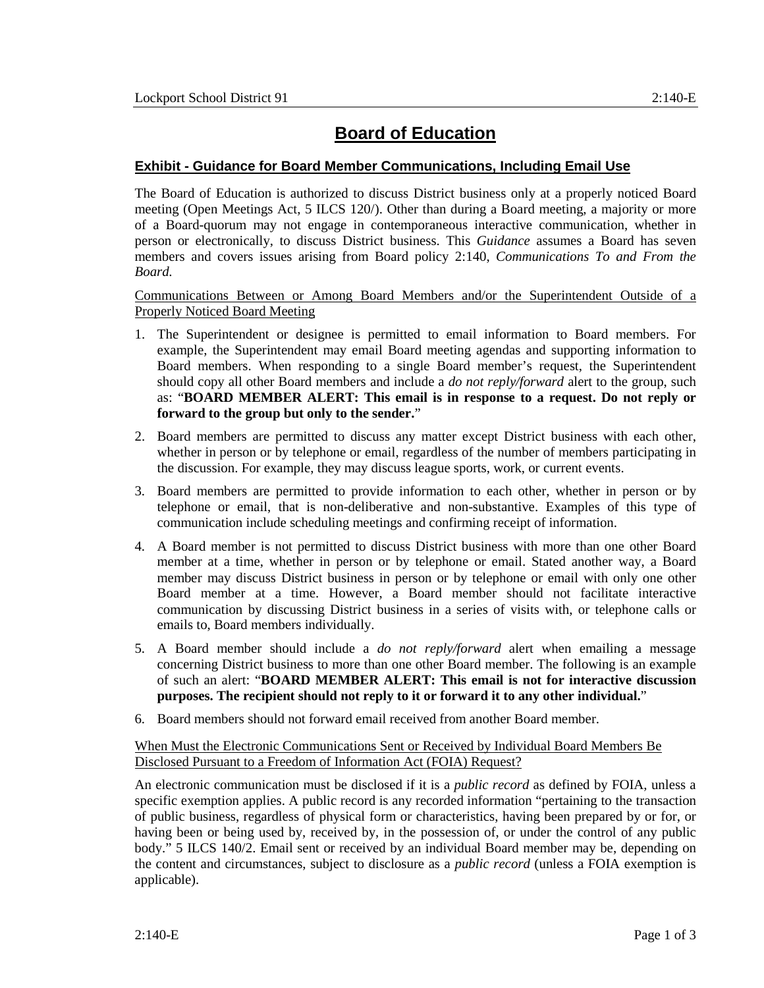# **Board of Education**

## **Exhibit - Guidance for Board Member Communications, Including Email Use**

The Board of Education is authorized to discuss District business only at a properly noticed Board meeting (Open Meetings Act, 5 ILCS 120/). Other than during a Board meeting, a majority or more of a Board-quorum may not engage in contemporaneous interactive communication, whether in person or electronically, to discuss District business. This *Guidance* assumes a Board has seven members and covers issues arising from Board policy 2:140, *Communications To and From the Board.*

#### Communications Between or Among Board Members and/or the Superintendent Outside of a Properly Noticed Board Meeting

- 1. The Superintendent or designee is permitted to email information to Board members. For example, the Superintendent may email Board meeting agendas and supporting information to Board members. When responding to a single Board member's request, the Superintendent should copy all other Board members and include a *do not reply/forward* alert to the group, such as: "**BOARD MEMBER ALERT: This email is in response to a request. Do not reply or forward to the group but only to the sender.**"
- 2. Board members are permitted to discuss any matter except District business with each other, whether in person or by telephone or email, regardless of the number of members participating in the discussion. For example, they may discuss league sports, work, or current events.
- 3. Board members are permitted to provide information to each other, whether in person or by telephone or email, that is non-deliberative and non-substantive. Examples of this type of communication include scheduling meetings and confirming receipt of information.
- 4. A Board member is not permitted to discuss District business with more than one other Board member at a time, whether in person or by telephone or email. Stated another way, a Board member may discuss District business in person or by telephone or email with only one other Board member at a time. However, a Board member should not facilitate interactive communication by discussing District business in a series of visits with, or telephone calls or emails to, Board members individually.
- 5. A Board member should include a *do not reply/forward* alert when emailing a message concerning District business to more than one other Board member. The following is an example of such an alert: "**BOARD MEMBER ALERT: This email is not for interactive discussion purposes. The recipient should not reply to it or forward it to any other individual.**"
- 6. Board members should not forward email received from another Board member.

### When Must the Electronic Communications Sent or Received by Individual Board Members Be Disclosed Pursuant to a Freedom of Information Act (FOIA) Request?

An electronic communication must be disclosed if it is a *public record* as defined by FOIA, unless a specific exemption applies. A public record is any recorded information "pertaining to the transaction of public business, regardless of physical form or characteristics, having been prepared by or for, or having been or being used by, received by, in the possession of, or under the control of any public body." 5 ILCS 140/2. Email sent or received by an individual Board member may be, depending on the content and circumstances, subject to disclosure as a *public record* (unless a FOIA exemption is applicable).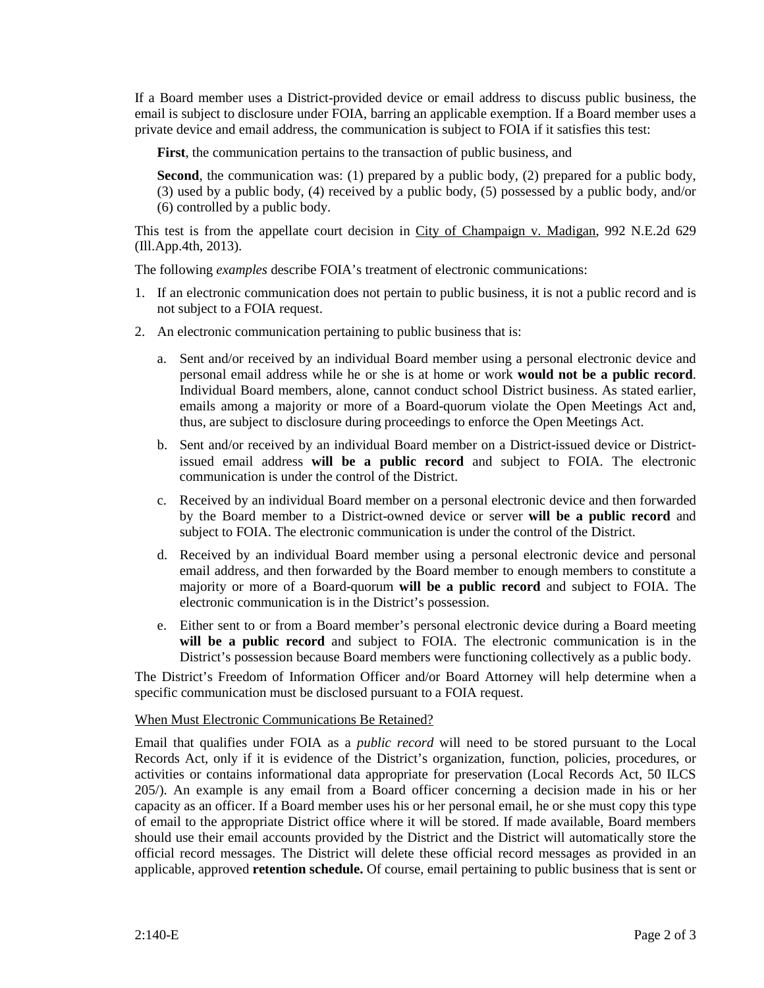If a Board member uses a District-provided device or email address to discuss public business, the email is subject to disclosure under FOIA, barring an applicable exemption. If a Board member uses a private device and email address, the communication is subject to FOIA if it satisfies this test:

**First**, the communication pertains to the transaction of public business, and

**Second**, the communication was: (1) prepared by a public body, (2) prepared for a public body, (3) used by a public body, (4) received by a public body, (5) possessed by a public body, and/or (6) controlled by a public body.

This test is from the appellate court decision in City of Champaign v. Madigan, 992 N.E.2d 629 (Ill.App.4th, 2013).

The following *examples* describe FOIA's treatment of electronic communications:

- 1. If an electronic communication does not pertain to public business, it is not a public record and is not subject to a FOIA request.
- 2. An electronic communication pertaining to public business that is:
	- a. Sent and/or received by an individual Board member using a personal electronic device and personal email address while he or she is at home or work **would not be a public record**. Individual Board members, alone, cannot conduct school District business. As stated earlier, emails among a majority or more of a Board-quorum violate the Open Meetings Act and, thus, are subject to disclosure during proceedings to enforce the Open Meetings Act.
	- b. Sent and/or received by an individual Board member on a District-issued device or Districtissued email address **will be a public record** and subject to FOIA. The electronic communication is under the control of the District.
	- c. Received by an individual Board member on a personal electronic device and then forwarded by the Board member to a District-owned device or server **will be a public record** and subject to FOIA. The electronic communication is under the control of the District.
	- d. Received by an individual Board member using a personal electronic device and personal email address, and then forwarded by the Board member to enough members to constitute a majority or more of a Board-quorum **will be a public record** and subject to FOIA. The electronic communication is in the District's possession.
	- e. Either sent to or from a Board member's personal electronic device during a Board meeting **will be a public record** and subject to FOIA. The electronic communication is in the District's possession because Board members were functioning collectively as a public body.

The District's Freedom of Information Officer and/or Board Attorney will help determine when a specific communication must be disclosed pursuant to a FOIA request.

#### When Must Electronic Communications Be Retained?

Email that qualifies under FOIA as a *public record* will need to be stored pursuant to the Local Records Act, only if it is evidence of the District's organization, function, policies, procedures, or activities or contains informational data appropriate for preservation (Local Records Act, 50 ILCS 205/). An example is any email from a Board officer concerning a decision made in his or her capacity as an officer. If a Board member uses his or her personal email, he or she must copy this type of email to the appropriate District office where it will be stored. If made available, Board members should use their email accounts provided by the District and the District will automatically store the official record messages. The District will delete these official record messages as provided in an applicable, approved **retention schedule.** Of course, email pertaining to public business that is sent or